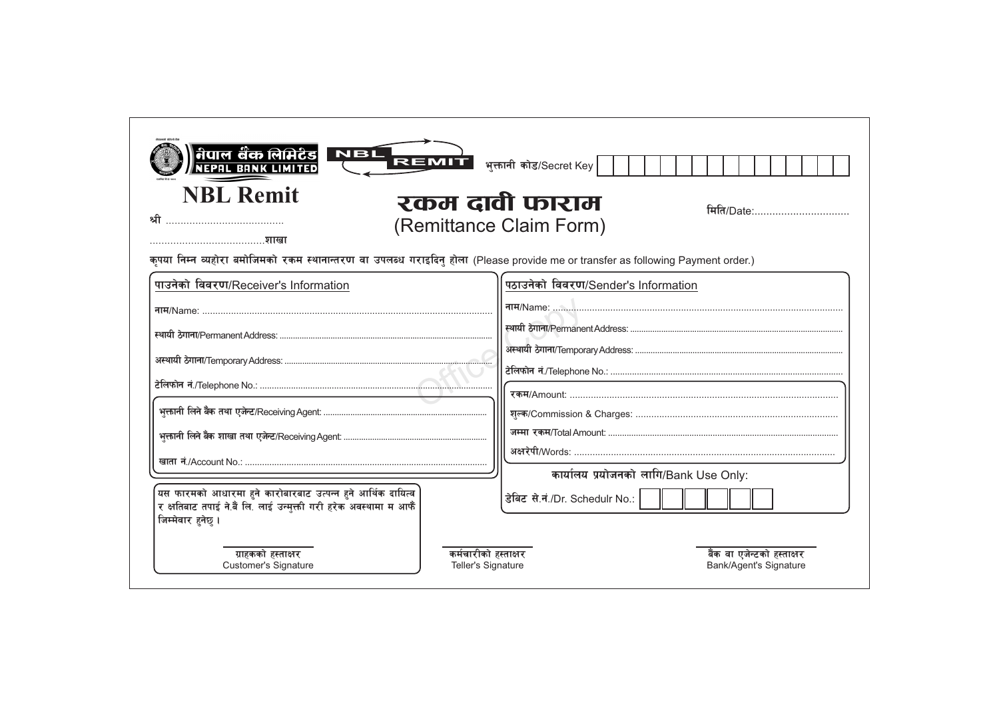| <b>NBL Remit</b><br>श्री                                                                                                                              | रकम दावी फाराम<br>मिति/Date:<br>(Remittance Claim Form)                                                                         |  |
|-------------------------------------------------------------------------------------------------------------------------------------------------------|---------------------------------------------------------------------------------------------------------------------------------|--|
| शाखा                                                                                                                                                  | कपया निम्न व्यहोरा बमोजिमको रकम स्थानान्तरण वा उपलब्ध गराइदिनु होला (Please provide me or transfer as following Payment order.) |  |
| पाउनेको विवरण/Receiver's Information                                                                                                                  | पठाउनेको विवरण/Sender's Information                                                                                             |  |
|                                                                                                                                                       | नाम/Name:                                                                                                                       |  |
|                                                                                                                                                       |                                                                                                                                 |  |
|                                                                                                                                                       |                                                                                                                                 |  |
|                                                                                                                                                       |                                                                                                                                 |  |
|                                                                                                                                                       |                                                                                                                                 |  |
|                                                                                                                                                       |                                                                                                                                 |  |
|                                                                                                                                                       |                                                                                                                                 |  |
|                                                                                                                                                       | कार्यालय प्रयोजनको लागि/Bank Use Only:                                                                                          |  |
| यस फारमको आधारमा हुने कारोबारबाट उत्पन्न हुने आर्थिक दायित्व<br>र क्षतिबाट तपाई ने.बैं लि. लाई उन्मुक्ती गरी हरेक अवस्थामा म आफैं<br>जिम्मेवार हनेछ । | डेबिट से.नं./Dr. Schedulr No.:                                                                                                  |  |